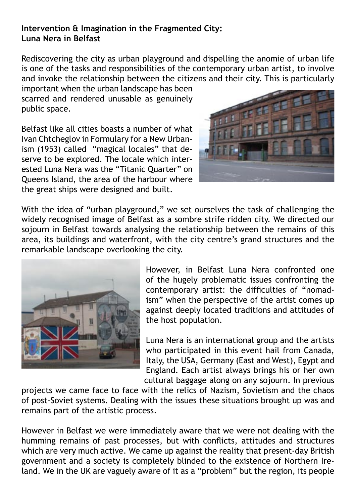## **Intervention & Imagination in the Fragmented City: Luna Nera in Belfast**

Rediscovering the city as urban playground and dispelling the anomie of urban life is one of the tasks and responsibilities of the contemporary urban artist, to involve and invoke the relationship between the citizens and their city. This is particularly

important when the urban landscape has been scarred and rendered unusable as genuinely public space.

Belfast like all cities boasts a number of what Ivan Chtcheglov in Formulary for a New Urbanism (1953) called "magical locales" that deserve to be explored. The locale which interested Luna Nera was the "Titanic Quarter" on Queens Island, the area of the harbour where the great ships were designed and built.



With the idea of "urban playground," we set ourselves the task of challenging the widely recognised image of Belfast as a sombre strife ridden city. We directed our sojourn in Belfast towards analysing the relationship between the remains of this area, its buildings and waterfront, with the city centre's grand structures and the remarkable landscape overlooking the city.



However, in Belfast Luna Nera confronted one of the hugely problematic issues confronting the contemporary artist: the difficulties of "nomadism" when the perspective of the artist comes up against deeply located traditions and attitudes of the host population.

Luna Nera is an international group and the artists who participated in this event hail from Canada, Italy, the USA, Germany (East and West), Egypt and England. Each artist always brings his or her own cultural baggage along on any sojourn. In previous

projects we came face to face with the relics of Nazism, Sovietism and the chaos of post-Soviet systems. Dealing with the issues these situations brought up was and remains part of the artistic process.

However in Belfast we were immediately aware that we were not dealing with the humming remains of past processes, but with conflicts, attitudes and structures which are very much active. We came up against the reality that present-day British government and a society is completely blinded to the existence of Northern Ireland. We in the UK are vaguely aware of it as a "problem" but the region, its people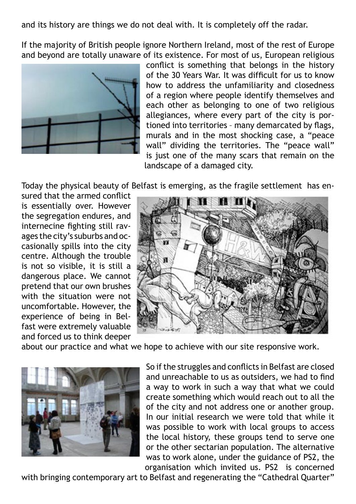and its history are things we do not deal with. It is completely off the radar.

If the majority of British people ignore Northern Ireland, most of the rest of Europe and beyond are totally unaware of its existence. For most of us, European religious



conflict is something that belongs in the history of the 30 Years War. It was difficult for us to know how to address the unfamiliarity and closedness of a region where people identify themselves and each other as belonging to one of two religious allegiances, where every part of the city is portioned into territories – many demarcated by flags, murals and in the most shocking case, a "peace wall" dividing the territories. The "peace wall" is just one of the many scars that remain on the landscape of a damaged city.

Today the physical beauty of Belfast is emerging, as the fragile settlement has en-

sured that the armed conflict is essentially over. However the segregation endures, and internecine fighting still ravages the city's suburbs and occasionally spills into the city centre. Although the trouble is not so visible, it is still a dangerous place. We cannot pretend that our own brushes with the situation were not uncomfortable. However, the experience of being in Belfast were extremely valuable and forced us to think deeper



about our practice and what we hope to achieve with our site responsive work.



So if the struggles and conflicts in Belfast are closed and unreachable to us as outsiders, we had to find a way to work in such a way that what we could create something which would reach out to all the of the city and not address one or another group. In our initial research we were told that while it was possible to work with local groups to access the local history, these groups tend to serve one or the other sectarian population. The alternative was to work alone, under the guidance of PS2, the organisation which invited us. PS2 is concerned

with bringing contemporary art to Belfast and regenerating the "Cathedral Quarter"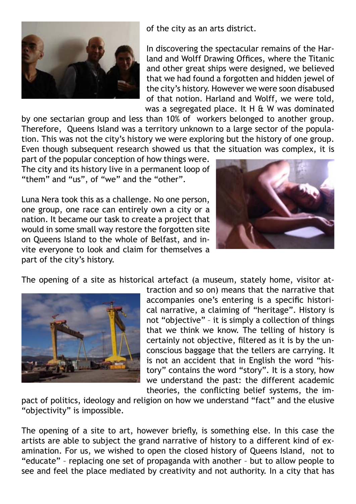

of the city as an arts district.

In discovering the spectacular remains of the Harland and Wolff Drawing Offices, where the Titanic and other great ships were designed, we believed that we had found a forgotten and hidden jewel of the city's history. However we were soon disabused of that notion. Harland and Wolff, we were told, was a segregated place. It H & W was dominated

by one sectarian group and less than 10% of workers belonged to another group. Therefore, Queens Island was a territory unknown to a large sector of the population. This was not the city's history we were exploring but the history of one group. Even though subsequent research showed us that the situation was complex, it is

part of the popular conception of how things were. The city and its history live in a permanent loop of "them" and "us", of "we" and the "other".

Luna Nera took this as a challenge. No one person, one group, one race can entirely own a city or a nation. It became our task to create a project that would in some small way restore the forgotten site on Queens Island to the whole of Belfast, and invite everyone to look and claim for themselves a part of the city's history.



The opening of a site as historical artefact (a museum, stately home, visitor at-



traction and so on) means that the narrative that accompanies one's entering is a specific historical narrative, a claiming of "heritage". History is not "objective" – it is simply a collection of things that we think we know. The telling of history is certainly not objective, filtered as it is by the unconscious baggage that the tellers are carrying. It is not an accident that in English the word "history" contains the word "story". It is a story, how we understand the past: the different academic theories, the conflicting belief systems, the im-

pact of politics, ideology and religion on how we understand "fact" and the elusive "objectivity" is impossible.

The opening of a site to art, however briefly, is something else. In this case the artists are able to subject the grand narrative of history to a different kind of examination. For us, we wished to open the closed history of Queens Island, not to "educate" – replacing one set of propaganda with another – but to allow people to see and feel the place mediated by creativity and not authority. In a city that has